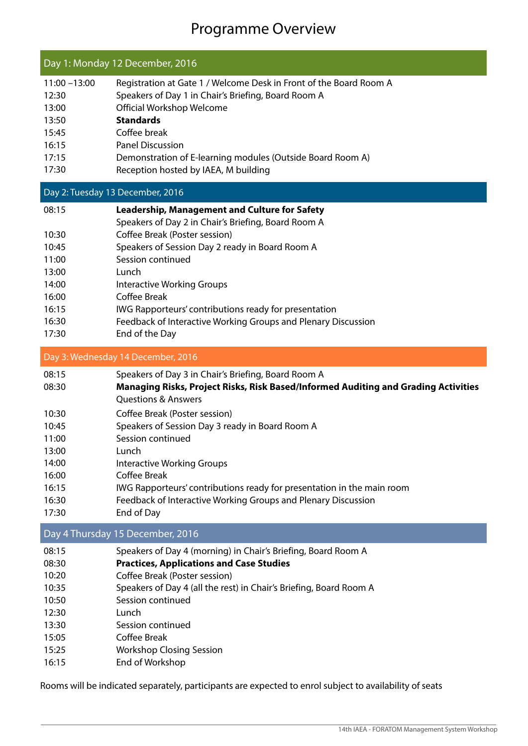## Programme Overview

| Day 1: Monday 12 December, 2016                                                                 |                                                                                                                                                                                                                                                                                                                                                                                                                                                                                                             |  |  |
|-------------------------------------------------------------------------------------------------|-------------------------------------------------------------------------------------------------------------------------------------------------------------------------------------------------------------------------------------------------------------------------------------------------------------------------------------------------------------------------------------------------------------------------------------------------------------------------------------------------------------|--|--|
| $11:00 - 13:00$<br>12:30<br>13:00<br>13:50<br>15:45<br>16:15<br>17:15<br>17:30                  | Registration at Gate 1 / Welcome Desk in Front of the Board Room A<br>Speakers of Day 1 in Chair's Briefing, Board Room A<br>Official Workshop Welcome<br><b>Standards</b><br>Coffee break<br><b>Panel Discussion</b><br>Demonstration of E-learning modules (Outside Board Room A)<br>Reception hosted by IAEA, M building                                                                                                                                                                                 |  |  |
|                                                                                                 | Day 2: Tuesday 13 December, 2016                                                                                                                                                                                                                                                                                                                                                                                                                                                                            |  |  |
| 08:15<br>10:30<br>10:45<br>11:00<br>13:00<br>14:00<br>16:00<br>16:15<br>16:30                   | <b>Leadership, Management and Culture for Safety</b><br>Speakers of Day 2 in Chair's Briefing, Board Room A<br>Coffee Break (Poster session)<br>Speakers of Session Day 2 ready in Board Room A<br>Session continued<br>Lunch<br><b>Interactive Working Groups</b><br>Coffee Break<br>IWG Rapporteurs' contributions ready for presentation<br>Feedback of Interactive Working Groups and Plenary Discussion                                                                                                |  |  |
| 17:30                                                                                           | End of the Day                                                                                                                                                                                                                                                                                                                                                                                                                                                                                              |  |  |
|                                                                                                 | Day 3: Wednesday 14 December, 2016                                                                                                                                                                                                                                                                                                                                                                                                                                                                          |  |  |
| 08:15<br>08:30<br>10:30<br>10:45<br>11:00<br>13:00<br>14:00<br>16:00<br>16:15<br>16:30<br>17:30 | Speakers of Day 3 in Chair's Briefing, Board Room A<br>Managing Risks, Project Risks, Risk Based/Informed Auditing and Grading Activities<br><b>Questions &amp; Answers</b><br>Coffee Break (Poster session)<br>Speakers of Session Day 3 ready in Board Room A<br>Session continued<br>Lunch<br><b>Interactive Working Groups</b><br>Coffee Break<br>IWG Rapporteurs' contributions ready for presentation in the main room<br>Feedback of Interactive Working Groups and Plenary Discussion<br>End of Day |  |  |
|                                                                                                 | Day 4 Thursday 15 December, 2016                                                                                                                                                                                                                                                                                                                                                                                                                                                                            |  |  |
| 08:15<br>08:30<br>10:20<br>10:35<br>10:50<br>12:30<br>13:30<br>15:05<br>15:25                   | Speakers of Day 4 (morning) in Chair's Briefing, Board Room A<br><b>Practices, Applications and Case Studies</b><br>Coffee Break (Poster session)<br>Speakers of Day 4 (all the rest) in Chair's Briefing, Board Room A<br>Session continued<br>Lunch<br>Session continued<br>Coffee Break<br><b>Workshop Closing Session</b>                                                                                                                                                                               |  |  |

16:15 End of Workshop

Rooms will be indicated separately, participants are expected to enrol subject to availability of seats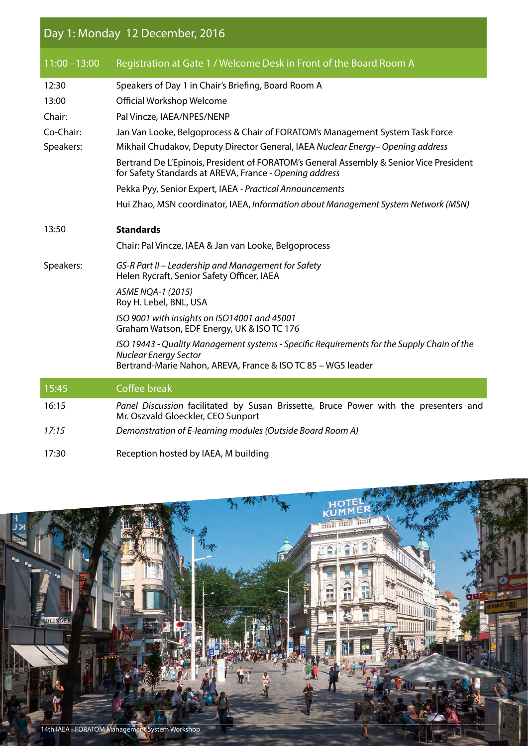## Day 1: Monday 12 December, 2016

| $11:00 - 13:00$ | Registration at Gate 1 / Welcome Desk in Front of the Board Room A                                                                                                                         |  |  |  |
|-----------------|--------------------------------------------------------------------------------------------------------------------------------------------------------------------------------------------|--|--|--|
| 12:30           | Speakers of Day 1 in Chair's Briefing, Board Room A                                                                                                                                        |  |  |  |
| 13:00           | Official Workshop Welcome                                                                                                                                                                  |  |  |  |
| Chair:          | Pal Vincze, IAEA/NPES/NENP                                                                                                                                                                 |  |  |  |
| Co-Chair:       | Jan Van Looke, Belgoprocess & Chair of FORATOM's Management System Task Force                                                                                                              |  |  |  |
| Speakers:       | Mikhail Chudakov, Deputy Director General, IAEA Nuclear Energy-Opening address                                                                                                             |  |  |  |
|                 | Bertrand De L'Epinois, President of FORATOM's General Assembly & Senior Vice President<br>for Safety Standards at AREVA, France - Opening address                                          |  |  |  |
|                 | Pekka Pyy, Senior Expert, IAEA - Practical Announcements                                                                                                                                   |  |  |  |
|                 | Hui Zhao, MSN coordinator, IAEA, Information about Management System Network (MSN)                                                                                                         |  |  |  |
| 13:50           | <b>Standards</b>                                                                                                                                                                           |  |  |  |
|                 | Chair: Pal Vincze, IAEA & Jan van Looke, Belgoprocess                                                                                                                                      |  |  |  |
| Speakers:       | GS-R Part II – Leadership and Management for Safety<br>Helen Rycraft, Senior Safety Officer, IAEA                                                                                          |  |  |  |
|                 | ASME NQA-1 (2015)<br>Roy H. Lebel, BNL, USA                                                                                                                                                |  |  |  |
|                 | ISO 9001 with insights on ISO14001 and 45001<br>Graham Watson, EDF Energy, UK & ISO TC 176                                                                                                 |  |  |  |
|                 | ISO 19443 - Quality Management systems - Specific Requirements for the Supply Chain of the<br><b>Nuclear Energy Sector</b><br>Bertrand-Marie Nahon, AREVA, France & ISO TC 85 - WG5 leader |  |  |  |
| 15:45           | Coffee break                                                                                                                                                                               |  |  |  |
| 16:15           | Panel Discussion facilitated by Susan Brissette, Bruce Power with the presenters and<br>Mr. Oszvald Gloeckler, CEO Sunport                                                                 |  |  |  |
| 17:15           | Demonstration of E-learning modules (Outside Board Room A)                                                                                                                                 |  |  |  |
| 17:30           | Reception hosted by IAEA, M building                                                                                                                                                       |  |  |  |

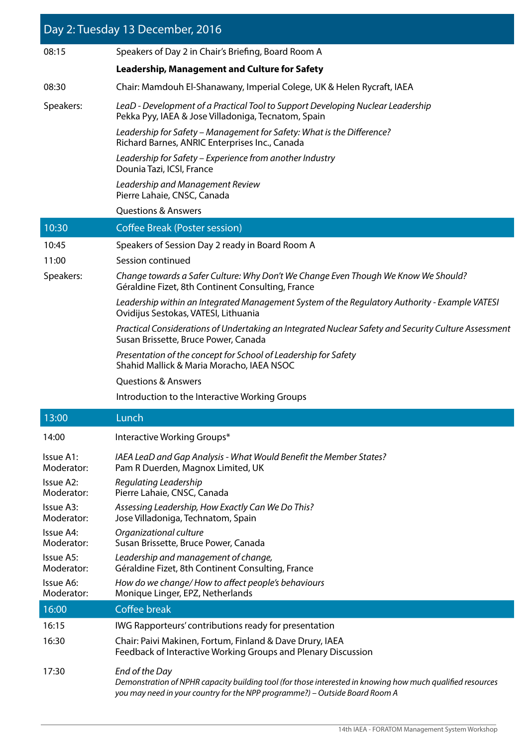| Day 2: Tuesday 13 December, 2016 |                                                                                                                                                                                                             |  |  |  |  |
|----------------------------------|-------------------------------------------------------------------------------------------------------------------------------------------------------------------------------------------------------------|--|--|--|--|
| 08:15                            | Speakers of Day 2 in Chair's Briefing, Board Room A                                                                                                                                                         |  |  |  |  |
|                                  | <b>Leadership, Management and Culture for Safety</b>                                                                                                                                                        |  |  |  |  |
| 08:30                            | Chair: Mamdouh El-Shanawany, Imperial Colege, UK & Helen Rycraft, IAEA                                                                                                                                      |  |  |  |  |
| Speakers:                        | LeaD - Development of a Practical Tool to Support Developing Nuclear Leadership<br>Pekka Pyy, IAEA & Jose Villadoniga, Tecnatom, Spain                                                                      |  |  |  |  |
|                                  | Leadership for Safety – Management for Safety: What is the Difference?<br>Richard Barnes, ANRIC Enterprises Inc., Canada                                                                                    |  |  |  |  |
|                                  | Leadership for Safety - Experience from another Industry<br>Dounia Tazi, ICSI, France                                                                                                                       |  |  |  |  |
|                                  | Leadership and Management Review<br>Pierre Lahaie, CNSC, Canada                                                                                                                                             |  |  |  |  |
|                                  | <b>Questions &amp; Answers</b>                                                                                                                                                                              |  |  |  |  |
| 10:30                            | <b>Coffee Break (Poster session)</b>                                                                                                                                                                        |  |  |  |  |
| 10:45                            | Speakers of Session Day 2 ready in Board Room A                                                                                                                                                             |  |  |  |  |
| 11:00                            | Session continued                                                                                                                                                                                           |  |  |  |  |
| Speakers:                        | Change towards a Safer Culture: Why Don't We Change Even Though We Know We Should?<br>Géraldine Fizet, 8th Continent Consulting, France                                                                     |  |  |  |  |
|                                  | Leadership within an Integrated Management System of the Regulatory Authority - Example VATESI<br>Ovidijus Sestokas, VATESI, Lithuania                                                                      |  |  |  |  |
|                                  | Practical Considerations of Undertaking an Integrated Nuclear Safety and Security Culture Assessment<br>Susan Brissette, Bruce Power, Canada                                                                |  |  |  |  |
|                                  | Presentation of the concept for School of Leadership for Safety<br>Shahid Mallick & Maria Moracho, IAEA NSOC                                                                                                |  |  |  |  |
|                                  | <b>Questions &amp; Answers</b>                                                                                                                                                                              |  |  |  |  |
|                                  | Introduction to the Interactive Working Groups                                                                                                                                                              |  |  |  |  |
| 13:00                            | Lunch                                                                                                                                                                                                       |  |  |  |  |
| 14:00                            | Interactive Working Groups*                                                                                                                                                                                 |  |  |  |  |
| Issue A1:<br>Moderator:          | IAEA LeaD and Gap Analysis - What Would Benefit the Member States?<br>Pam R Duerden, Magnox Limited, UK                                                                                                     |  |  |  |  |
| Issue A2:<br>Moderator:          | Regulating Leadership<br>Pierre Lahaie, CNSC, Canada                                                                                                                                                        |  |  |  |  |
| Issue A3:<br>Moderator:          | Assessing Leadership, How Exactly Can We Do This?<br>Jose Villadoniga, Technatom, Spain                                                                                                                     |  |  |  |  |
| Issue A4:<br>Moderator:          | Organizational culture<br>Susan Brissette, Bruce Power, Canada                                                                                                                                              |  |  |  |  |
| Issue A5:<br>Moderator:          | Leadership and management of change,<br>Géraldine Fizet, 8th Continent Consulting, France                                                                                                                   |  |  |  |  |
| Issue A6:<br>Moderator:          | How do we change/How to affect people's behaviours<br>Monique Linger, EPZ, Netherlands                                                                                                                      |  |  |  |  |
| 16:00                            | <b>Coffee break</b>                                                                                                                                                                                         |  |  |  |  |
| 16:15                            | IWG Rapporteurs' contributions ready for presentation                                                                                                                                                       |  |  |  |  |
| 16:30                            | Chair: Paivi Makinen, Fortum, Finland & Dave Drury, IAEA<br>Feedback of Interactive Working Groups and Plenary Discussion                                                                                   |  |  |  |  |
| 17:30                            | End of the Day<br>Demonstration of NPHR capacity building tool (for those interested in knowing how much qualified resources<br>you may need in your country for the NPP programme?) - Outside Board Room A |  |  |  |  |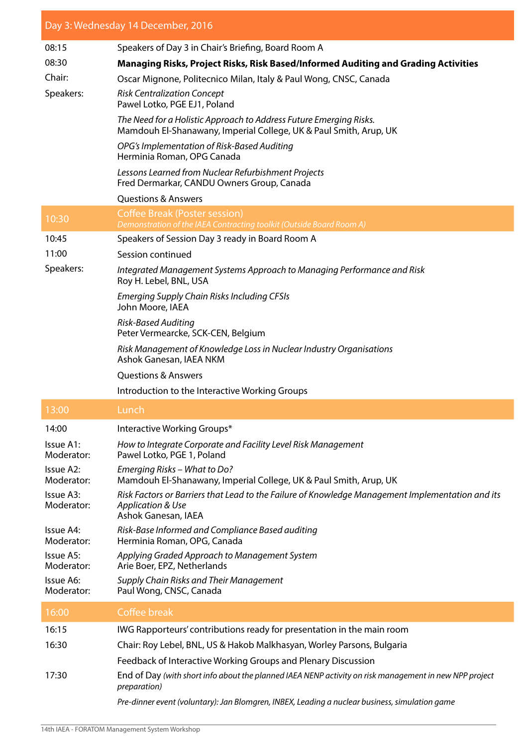| Day 3: Wednesday 14 December, 2016 |                                                                                                                                                         |  |  |  |  |
|------------------------------------|---------------------------------------------------------------------------------------------------------------------------------------------------------|--|--|--|--|
| 08:15                              | Speakers of Day 3 in Chair's Briefing, Board Room A                                                                                                     |  |  |  |  |
| 08:30                              | Managing Risks, Project Risks, Risk Based/Informed Auditing and Grading Activities                                                                      |  |  |  |  |
| Chair:                             | Oscar Mignone, Politecnico Milan, Italy & Paul Wong, CNSC, Canada                                                                                       |  |  |  |  |
| Speakers:                          | <b>Risk Centralization Concept</b><br>Pawel Lotko, PGE EJ1, Poland                                                                                      |  |  |  |  |
|                                    | The Need for a Holistic Approach to Address Future Emerging Risks.<br>Mamdouh El-Shanawany, Imperial College, UK & Paul Smith, Arup, UK                 |  |  |  |  |
|                                    | OPG's Implementation of Risk-Based Auditing<br>Herminia Roman, OPG Canada                                                                               |  |  |  |  |
|                                    | Lessons Learned from Nuclear Refurbishment Projects<br>Fred Dermarkar, CANDU Owners Group, Canada                                                       |  |  |  |  |
|                                    | <b>Questions &amp; Answers</b>                                                                                                                          |  |  |  |  |
| 10:30                              | <b>Coffee Break (Poster session)</b><br>Demonstration of the IAEA Contracting toolkit (Outside Board Room A)                                            |  |  |  |  |
| 10:45                              | Speakers of Session Day 3 ready in Board Room A                                                                                                         |  |  |  |  |
| 11:00                              | Session continued                                                                                                                                       |  |  |  |  |
| Speakers:                          | Integrated Management Systems Approach to Managing Performance and Risk<br>Roy H. Lebel, BNL, USA                                                       |  |  |  |  |
|                                    | <b>Emerging Supply Chain Risks Including CFSIs</b><br>John Moore, IAEA                                                                                  |  |  |  |  |
|                                    | Risk-Based Auditing<br>Peter Vermearcke, SCK-CEN, Belgium                                                                                               |  |  |  |  |
|                                    | Risk Management of Knowledge Loss in Nuclear Industry Organisations<br>Ashok Ganesan, IAEA NKM                                                          |  |  |  |  |
|                                    | <b>Questions &amp; Answers</b>                                                                                                                          |  |  |  |  |
|                                    | Introduction to the Interactive Working Groups                                                                                                          |  |  |  |  |
| 13:00                              | Lunch                                                                                                                                                   |  |  |  |  |
| 14:00                              | Interactive Working Groups*                                                                                                                             |  |  |  |  |
| Issue A1:<br>Moderator:            | How to Integrate Corporate and Facility Level Risk Management<br>Pawel Lotko, PGE 1, Poland                                                             |  |  |  |  |
| Issue A2:<br>Moderator:            | Emerging Risks - What to Do?<br>Mamdouh El-Shanawany, Imperial College, UK & Paul Smith, Arup, UK                                                       |  |  |  |  |
| Issue A3:<br>Moderator:            | Risk Factors or Barriers that Lead to the Failure of Knowledge Management Implementation and its<br><b>Application &amp; Use</b><br>Ashok Ganesan, IAEA |  |  |  |  |
| Issue A4:<br>Moderator:            | Risk-Base Informed and Compliance Based auditing<br>Herminia Roman, OPG, Canada                                                                         |  |  |  |  |
| Issue A5:<br>Moderator:            | Applying Graded Approach to Management System<br>Arie Boer, EPZ, Netherlands                                                                            |  |  |  |  |
| Issue A6:<br>Moderator:            | Supply Chain Risks and Their Management<br>Paul Wong, CNSC, Canada                                                                                      |  |  |  |  |
| 16:00                              | Coffee break                                                                                                                                            |  |  |  |  |
| 16:15                              | IWG Rapporteurs' contributions ready for presentation in the main room                                                                                  |  |  |  |  |
| 16:30                              | Chair: Roy Lebel, BNL, US & Hakob Malkhasyan, Worley Parsons, Bulgaria                                                                                  |  |  |  |  |
|                                    | Feedback of Interactive Working Groups and Plenary Discussion                                                                                           |  |  |  |  |
| 17:30                              | End of Day (with short info about the planned IAEA NENP activity on risk management in new NPP project<br>preparation)                                  |  |  |  |  |
|                                    | Pre-dinner event (voluntary): Jan Blomgren, INBEX, Leading a nuclear business, simulation game                                                          |  |  |  |  |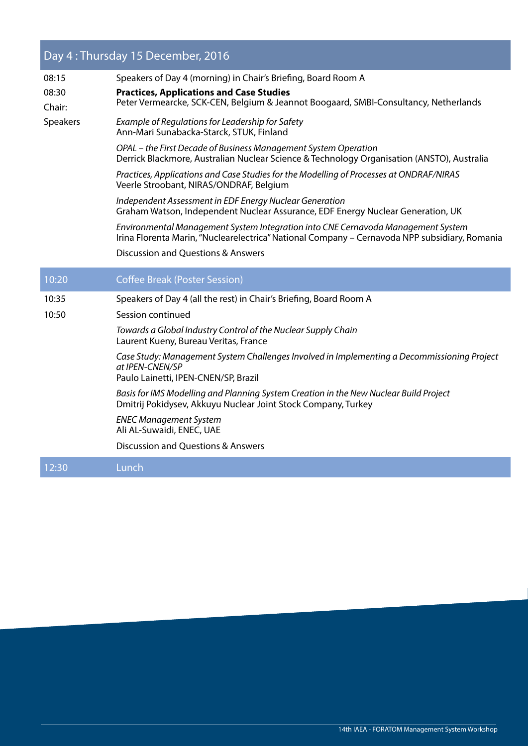## Day 4 : Thursday 15 December, 2016

| 08:15           | Speakers of Day 4 (morning) in Chair's Briefing, Board Room A                                                                                                                     |  |  |
|-----------------|-----------------------------------------------------------------------------------------------------------------------------------------------------------------------------------|--|--|
| 08:30<br>Chair: | <b>Practices, Applications and Case Studies</b><br>Peter Vermearcke, SCK-CEN, Belgium & Jeannot Boogaard, SMBI-Consultancy, Netherlands                                           |  |  |
| Speakers        | Example of Regulations for Leadership for Safety<br>Ann-Mari Sunabacka-Starck, STUK, Finland                                                                                      |  |  |
|                 | OPAL – the First Decade of Business Management System Operation<br>Derrick Blackmore, Australian Nuclear Science & Technology Organisation (ANSTO), Australia                     |  |  |
|                 | Practices, Applications and Case Studies for the Modelling of Processes at ONDRAF/NIRAS<br>Veerle Stroobant, NIRAS/ONDRAF, Belgium                                                |  |  |
|                 | Independent Assessment in EDF Energy Nuclear Generation<br>Graham Watson, Independent Nuclear Assurance, EDF Energy Nuclear Generation, UK                                        |  |  |
|                 | Environmental Management System Integration into CNE Cernavoda Management System<br>Irina Florenta Marin, "Nuclearelectrica" National Company - Cernavoda NPP subsidiary, Romania |  |  |
|                 | <b>Discussion and Questions &amp; Answers</b>                                                                                                                                     |  |  |
| 10:20           | <b>Coffee Break (Poster Session)</b>                                                                                                                                              |  |  |
|                 |                                                                                                                                                                                   |  |  |
| 10:35           | Speakers of Day 4 (all the rest) in Chair's Briefing, Board Room A                                                                                                                |  |  |
| 10:50           | Session continued                                                                                                                                                                 |  |  |
|                 | Towards a Global Industry Control of the Nuclear Supply Chain<br>Laurent Kueny, Bureau Veritas, France                                                                            |  |  |
|                 | Case Study: Management System Challenges Involved in Implementing a Decommissioning Project<br>at IPEN-CNEN/SP<br>Paulo Lainetti, IPEN-CNEN/SP, Brazil                            |  |  |
|                 | Basis for IMS Modelling and Planning System Creation in the New Nuclear Build Project<br>Dmitrij Pokidysev, Akkuyu Nuclear Joint Stock Company, Turkey                            |  |  |
|                 | <b>ENEC Management System</b><br>Ali AL-Suwaidi, ENEC, UAE                                                                                                                        |  |  |
|                 | <b>Discussion and Questions &amp; Answers</b>                                                                                                                                     |  |  |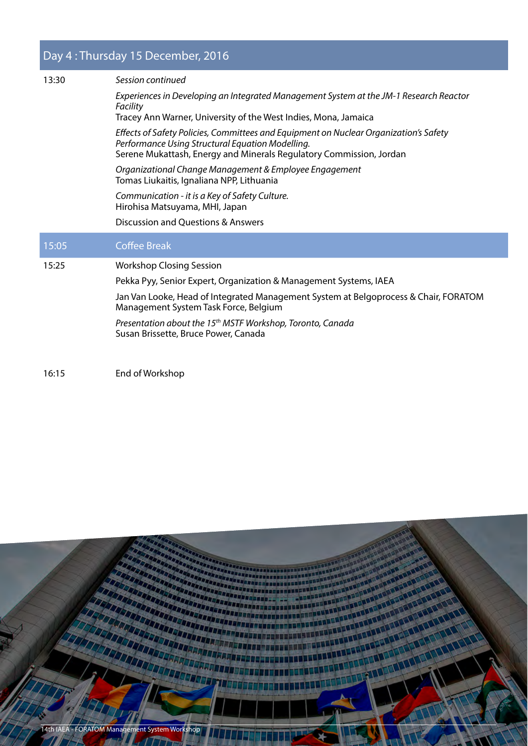## Day 4 : Thursday 15 December, 2016

| 13:30 | Session continued                                                                                                                                                                                                |  |  |
|-------|------------------------------------------------------------------------------------------------------------------------------------------------------------------------------------------------------------------|--|--|
|       | Experiences in Developing an Integrated Management System at the JM-1 Research Reactor<br>Facility                                                                                                               |  |  |
|       | Tracey Ann Warner, University of the West Indies, Mona, Jamaica                                                                                                                                                  |  |  |
|       | Effects of Safety Policies, Committees and Equipment on Nuclear Organization's Safety<br>Performance Using Structural Equation Modelling.<br>Serene Mukattash, Energy and Minerals Regulatory Commission, Jordan |  |  |
|       | Organizational Change Management & Employee Engagement<br>Tomas Liukaitis, Ignaliana NPP, Lithuania                                                                                                              |  |  |
|       | Communication - it is a Key of Safety Culture.<br>Hirohisa Matsuyama, MHI, Japan                                                                                                                                 |  |  |
|       | Discussion and Questions & Answers                                                                                                                                                                               |  |  |
|       |                                                                                                                                                                                                                  |  |  |
| 15:05 | <b>Coffee Break</b>                                                                                                                                                                                              |  |  |
| 15:25 | <b>Workshop Closing Session</b>                                                                                                                                                                                  |  |  |
|       | Pekka Pyy, Senior Expert, Organization & Management Systems, IAEA                                                                                                                                                |  |  |
|       | Jan Van Looke, Head of Integrated Management System at Belgoprocess & Chair, FORATOM<br>Management System Task Force, Belgium                                                                                    |  |  |
|       | Presentation about the 15 <sup>th</sup> MSTF Workshop, Toronto, Canada<br>Susan Brissette, Bruce Power, Canada                                                                                                   |  |  |
|       |                                                                                                                                                                                                                  |  |  |

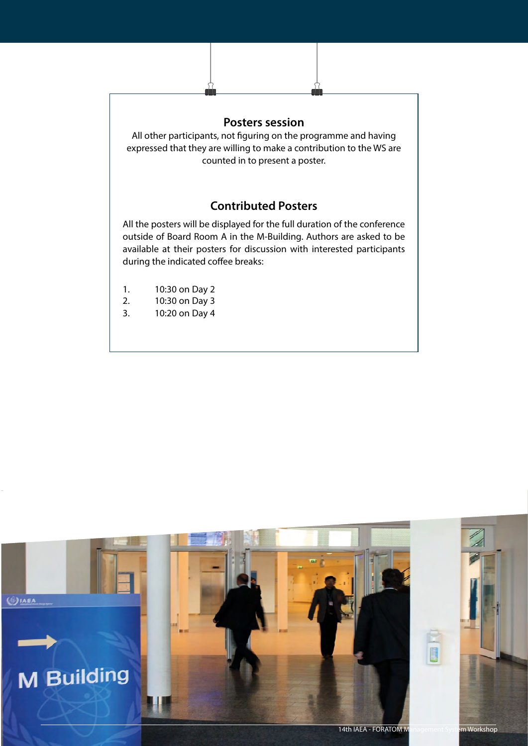

- 1. 10:30 on Day 2
- 2. 10:30 on Day 3
- 3. 10:20 on Day 4